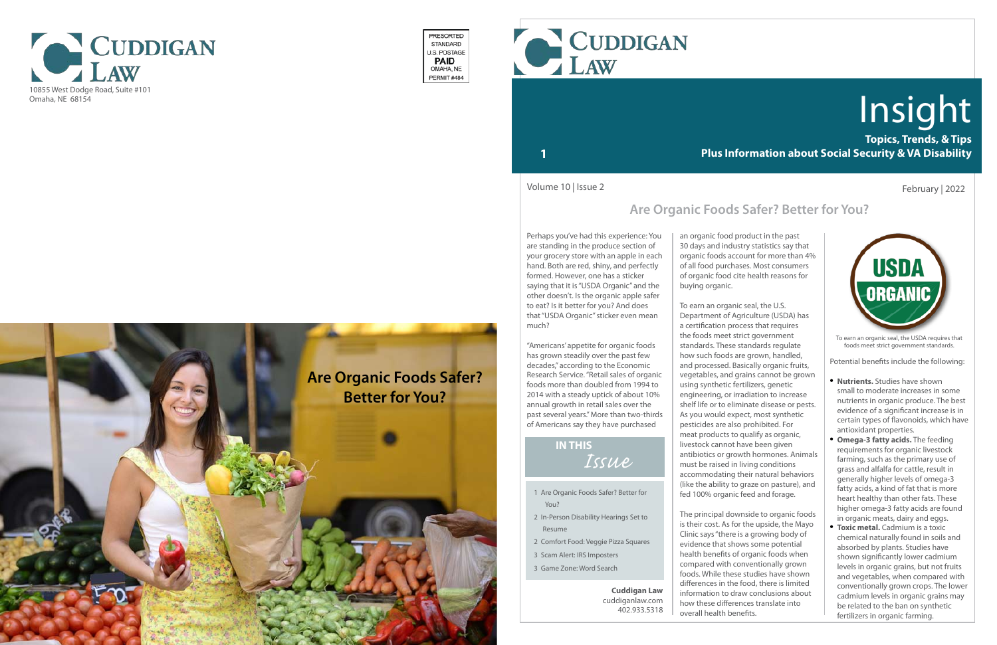

- 1 Are Organic Foods Safer? Better for You?
- 2 In-Person Disability Hearings Set to Resume
- 2 Comfort Food: Veggie Pizza Squares
- 3 Scam Alert: IRS Imposters
- 3 Game Zone: Word Search

## *Issue* **IN THIS**

**Topics, Trends, & Tips Plus Information about Social Security & VA Disability**

# Insight

### **1**

To earn an organic seal, the USDA requires that foods meet strict government standards.

Perhaps you've had this experience: You are standing in the produce section of your grocery store with an apple in each hand. Both are red, shiny, and perfectly formed. However, one has a sticker saying that it is "USDA Organic" and the other doesn't. Is the organic apple safer to eat? Is it better for you? And does that "USDA Organic" sticker even mean much?

"Americans' appetite for organic foods has grown steadily over the past few decades," according to the Economic Research Service. "Retail sales of organic foods more than doubled from 1994 to 2014 with a steady uptick of about 10% annual growth in retail sales over the past several years." More than two-thirds of Americans say they have purchased

### February | 2022

an organic food product in the past 30 days and industry statistics say that organic foods account for more than 4% of all food purchases. Most consumers of organic food cite health reasons for



buying organic.

To earn an organic seal, the U.S. Department of Agriculture (USDA) has a certification process that requires the foods meet strict government standards. These standards regulate how such foods are grown, handled, and processed. Basically organic fruits, vegetables, and grains cannot be grown using synthetic fertilizers, genetic engineering, or irradiation to increase shelf life or to eliminate disease or pests. As you would expect, most synthetic pesticides are also prohibited. For meat products to qualify as organic, livestock cannot have been given antibiotics or growth hormones. Animals must be raised in living conditions accommodating their natural behaviors (like the ability to graze on pasture), and fed 100% organic feed and forage.

The principal downside to organic foods is their cost. As for the upside, the Mayo Clinic says "there is a growing body of evidence that shows some potential health benefits of organic foods when compared with conventionally grown foods. While these studies have shown differences in the food, there is limited information to draw conclusions about how these differences translate into overall health benefits.

Volume 10 | Issue 2

#### **Cuddigan Law** cuddiganlaw.com 402.933.5318



PRESORTED STANDARD **J.S. POSTAGE PAID** OMAHA, NE PERMIT#484

Potential benefits include the following:

- **• Nutrients.** Studies have shown small to moderate increases in some nutrients in organic produce. The best evidence of a significant increase is in certain types of flavonoids, which have antioxidant properties.
- **Omega-3 fatty acids.** The feeding requirements for organic livestock farming, such as the primary use of grass and alfalfa for cattle, result in generally higher levels of omega-3 fatty acids, a kind of fat that is more heart healthy than other fats. These higher omega-3 fatty acids are found in organic meats, dairy and eggs.
- **Toxic metal.** Cadmium is a toxic chemical naturally found in soils and absorbed by plants. Studies have shown significantly lower cadmium levels in organic grains, but not fruits and vegetables, when compared with conventionally grown crops. The lower cadmium levels in organic grains may be related to the ban on synthetic fertilizers in organic farming.

## **Are Organic Foods Safer? Better for You?**